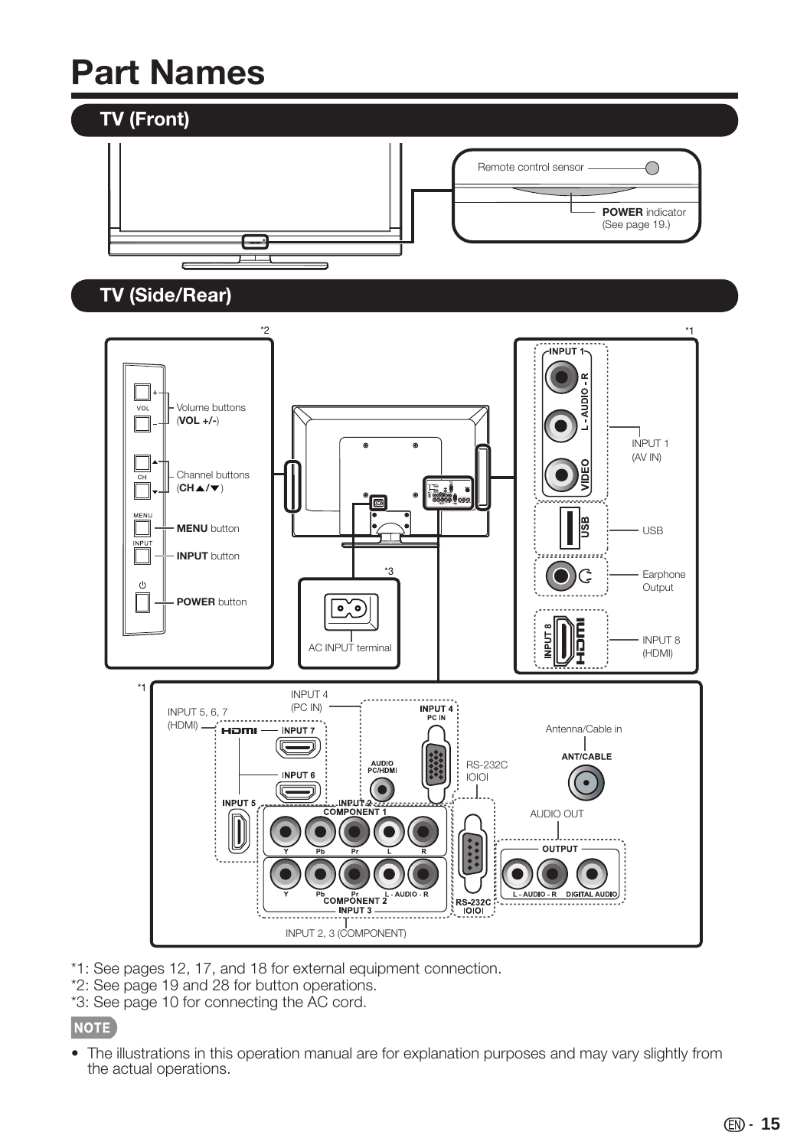## **Part Names**



- \*1: See pages 12, 17, and 18 for external equipment connection.
- \*2: See page 19 and 28 for button operations.
- \*3: See page 10 for connecting the AC cord.

### NOTE

• The illustrations in this operation manual are for explanation purposes and may vary slightly from the actual operations.